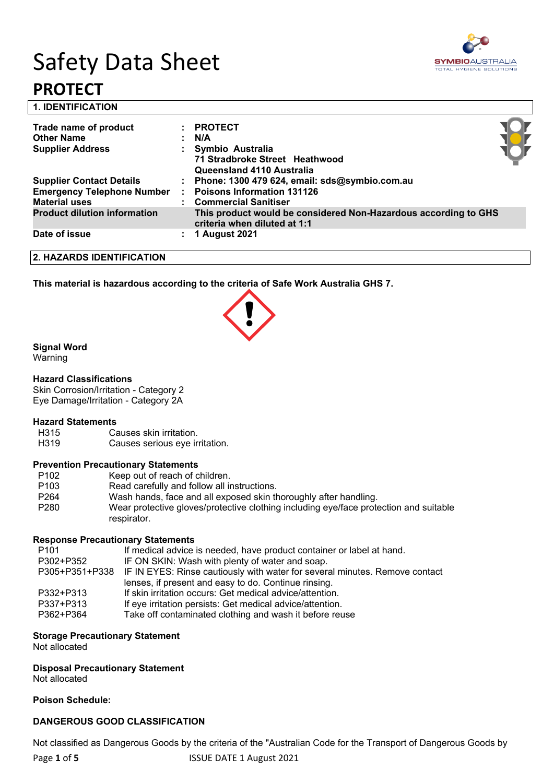# Safety Data Sheet **PROTECT**



**1. IDENTIFICATION** 

| Trade name of product<br><b>Other Name</b><br><b>Supplier Address</b> | <b>PROTECT</b><br>N/A<br>Symbio Australia<br>71 Stradbroke Street Heathwood<br>Queensland 4110 Australia |  |
|-----------------------------------------------------------------------|----------------------------------------------------------------------------------------------------------|--|
| <b>Supplier Contact Details</b>                                       | : Phone: 1300 479 624, email: sds@symbio.com.au                                                          |  |
| <b>Emergency Telephone Number</b><br><b>Material uses</b>             | <b>Poisons Information 131126</b><br>: Commercial Sanitiser                                              |  |
| <b>Product dilution information</b>                                   | This product would be considered Non-Hazardous according to GHS<br>criteria when diluted at 1:1          |  |
| Date of issue                                                         | <b>1 August 2021</b>                                                                                     |  |

**2. HAZARDS IDENTIFICATION**

**This material is hazardous according to the criteria of Safe Work Australia GHS 7.**

### **Signal Word**

Warning

#### **Hazard Classifications**

Skin Corrosion/Irritation - Category 2 Eye Damage/Irritation - Category 2A

# **Hazard Statements**

- Causes skin irritation.
- H319 Causes serious eye irritation.

#### **Prevention Precautionary Statements**

| P <sub>102</sub> | Keep out of reach of children.                                                                       |
|------------------|------------------------------------------------------------------------------------------------------|
| P <sub>103</sub> | Read carefully and follow all instructions.                                                          |
| P <sub>264</sub> | Wash hands, face and all exposed skin thoroughly after handling.                                     |
| P <sub>280</sub> | Wear protective gloves/protective clothing including eye/face protection and suitable<br>respirator. |

#### **Response Precautionary Statements**

| P <sub>101</sub> | If medical advice is needed, have product container or label at hand.                      |
|------------------|--------------------------------------------------------------------------------------------|
| P302+P352        | IF ON SKIN: Wash with plenty of water and soap.                                            |
|                  | P305+P351+P338 IF IN EYES: Rinse cautiously with water for several minutes. Remove contact |
|                  | lenses, if present and easy to do. Continue rinsing.                                       |
| P332+P313        | If skin irritation occurs: Get medical advice/attention.                                   |
| P337+P313        | If eye irritation persists: Get medical advice/attention.                                  |
| P362+P364        | Take off contaminated clothing and wash it before reuse                                    |

#### **Storage Precautionary Statement**

Not allocated

**Disposal Precautionary Statement**

Not allocated

#### **Poison Schedule:**

#### **DANGEROUS GOOD CLASSIFICATION**

Not classified as Dangerous Goods by the criteria of the "Australian Code for the Transport of Dangerous Goods by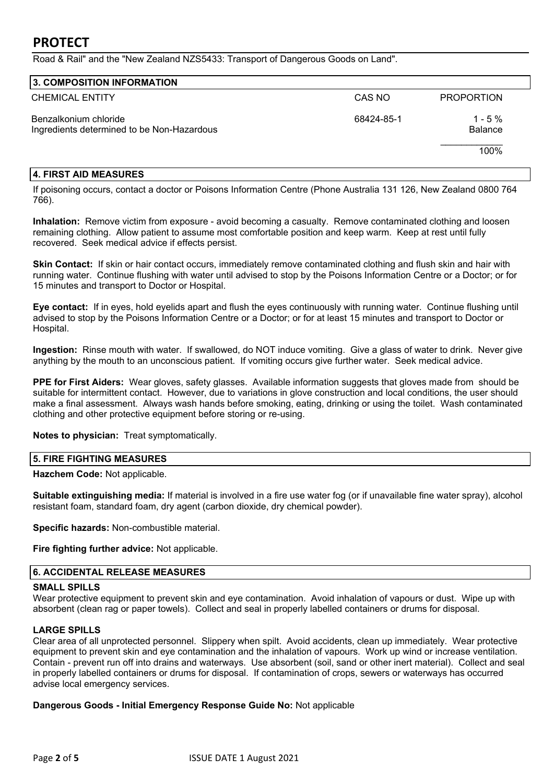## **PROTECT**

Road & Rail" and the "New Zealand NZS5433: Transport of Dangerous Goods on Land".

| 3. COMPOSITION INFORMATION                                          |            |                              |  |
|---------------------------------------------------------------------|------------|------------------------------|--|
| <b>CHEMICAL ENTITY</b>                                              | CAS NO     | <b>PROPORTION</b>            |  |
| Benzalkonium chloride<br>Ingredients determined to be Non-Hazardous | 68424-85-1 | $1 - 5 \%$<br><b>Balance</b> |  |
|                                                                     |            | 100%                         |  |

#### **4. FIRST AID MEASURES**

If poisoning occurs, contact a doctor or Poisons Information Centre (Phone Australia 131 126, New Zealand 0800 764 766).

**Inhalation:** Remove victim from exposure - avoid becoming a casualty. Remove contaminated clothing and loosen remaining clothing. Allow patient to assume most comfortable position and keep warm. Keep at rest until fully recovered. Seek medical advice if effects persist.

**Skin Contact:** If skin or hair contact occurs, immediately remove contaminated clothing and flush skin and hair with running water. Continue flushing with water until advised to stop by the Poisons Information Centre or a Doctor; or for 15 minutes and transport to Doctor or Hospital.

**Eye contact:** If in eyes, hold eyelids apart and flush the eyes continuously with running water. Continue flushing until advised to stop by the Poisons Information Centre or a Doctor; or for at least 15 minutes and transport to Doctor or Hospital.

**Ingestion:** Rinse mouth with water. If swallowed, do NOT induce vomiting. Give a glass of water to drink. Never give anything by the mouth to an unconscious patient. If vomiting occurs give further water. Seek medical advice.

**PPE for First Aiders:** Wear gloves, safety glasses. Available information suggests that gloves made from should be suitable for intermittent contact. However, due to variations in glove construction and local conditions, the user should make a final assessment. Always wash hands before smoking, eating, drinking or using the toilet. Wash contaminated clothing and other protective equipment before storing or re-using.

**Notes to physician:** Treat symptomatically.

#### **5. FIRE FIGHTING MEASURES**

**Hazchem Code:** Not applicable.

**Suitable extinguishing media:** If material is involved in a fire use water fog (or if unavailable fine water spray), alcohol resistant foam, standard foam, dry agent (carbon dioxide, dry chemical powder).

**Specific hazards:** Non-combustible material.

**Fire fighting further advice:** Not applicable.

#### **6. ACCIDENTAL RELEASE MEASURES**

#### **SMALL SPILLS**

Wear protective equipment to prevent skin and eye contamination. Avoid inhalation of vapours or dust. Wipe up with absorbent (clean rag or paper towels). Collect and seal in properly labelled containers or drums for disposal.

#### **LARGE SPILLS**

Clear area of all unprotected personnel. Slippery when spilt. Avoid accidents, clean up immediately. Wear protective equipment to prevent skin and eye contamination and the inhalation of vapours. Work up wind or increase ventilation. Contain - prevent run off into drains and waterways. Use absorbent (soil, sand or other inert material). Collect and seal in properly labelled containers or drums for disposal. If contamination of crops, sewers or waterways has occurred advise local emergency services.

**Dangerous Goods - Initial Emergency Response Guide No:** Not applicable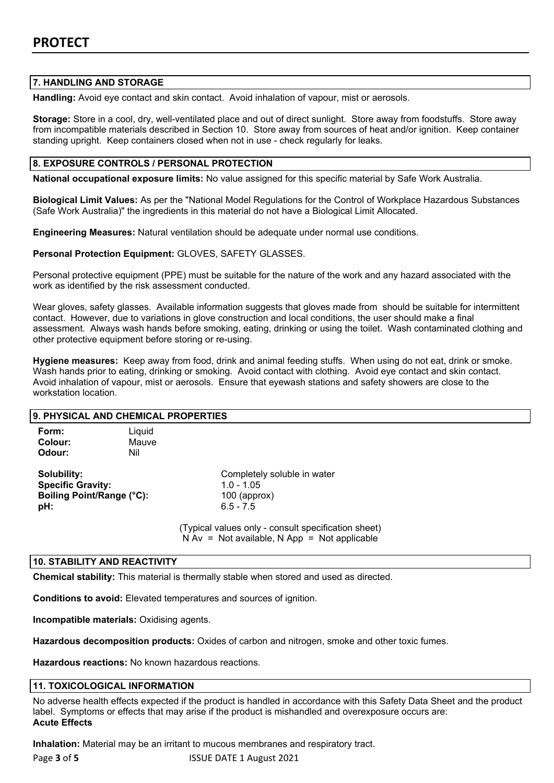#### **7. HANDLING AND STORAGE**

**Handling:** Avoid eye contact and skin contact. Avoid inhalation of vapour, mist or aerosols.

**Storage:** Store in a cool, dry, well-ventilated place and out of direct sunlight. Store away from foodstuffs. Store away from incompatible materials described in Section 10. Store away from sources of heat and/or ignition. Keep container standing upright. Keep containers closed when not in use - check regularly for leaks.

#### **8. EXPOSURE CONTROLS / PERSONAL PROTECTION**

**National occupational exposure limits:** No value assigned for this specific material by Safe Work Australia.

**Biological Limit Values:** As per the "National Model Regulations for the Control of Workplace Hazardous Substances (Safe Work Australia)" the ingredients in this material do not have a Biological Limit Allocated.

**Engineering Measures:** Natural ventilation should be adequate under normal use conditions.

**Personal Protection Equipment:** GLOVES, SAFETY GLASSES.

Personal protective equipment (PPE) must be suitable for the nature of the work and any hazard associated with the work as identified by the risk assessment conducted.

Wear gloves, safety glasses. Available information suggests that gloves made from should be suitable for intermittent contact. However, due to variations in glove construction and local conditions, the user should make a final assessment. Always wash hands before smoking, eating, drinking or using the toilet. Wash contaminated clothing and other protective equipment before storing or re-using.

**Hygiene measures:** Keep away from food, drink and animal feeding stuffs. When using do not eat, drink or smoke. Wash hands prior to eating, drinking or smoking. Avoid contact with clothing. Avoid eye contact and skin contact. Avoid inhalation of vapour, mist or aerosols. Ensure that eyewash stations and safety showers are close to the workstation location.

| 9. PHYSICAL AND CHEMICAL PROPERTIES                                         |                        |                                                                                                       |  |
|-----------------------------------------------------------------------------|------------------------|-------------------------------------------------------------------------------------------------------|--|
| Form:<br>Colour:<br>Odour:                                                  | Liquid<br>Mauve<br>Nil |                                                                                                       |  |
| Solubility:<br><b>Specific Gravity:</b><br>Boiling Point/Range (°C):<br>pH: |                        | Completely soluble in water<br>$1.0 - 1.05$<br>$100$ (approx)<br>$6.5 - 7.5$                          |  |
|                                                                             |                        | (Typical values only - consult specification sheet)<br>$N Av = Not available, N App = Not applicable$ |  |

#### **10. STABILITY AND REACTIVITY**

**Chemical stability:** This material is thermally stable when stored and used as directed.

**Conditions to avoid:** Elevated temperatures and sources of ignition.

**Incompatible materials:** Oxidising agents.

**Hazardous decomposition products:** Oxides of carbon and nitrogen, smoke and other toxic fumes.

**Hazardous reactions:** No known hazardous reactions.

#### **11. TOXICOLOGICAL INFORMATION**

No adverse health effects expected if the product is handled in accordance with this Safety Data Sheet and the product label. Symptoms or effects that may arise if the product is mishandled and overexposure occurs are: **Acute Effects**

**Inhalation:** Material may be an irritant to mucous membranes and respiratory tract.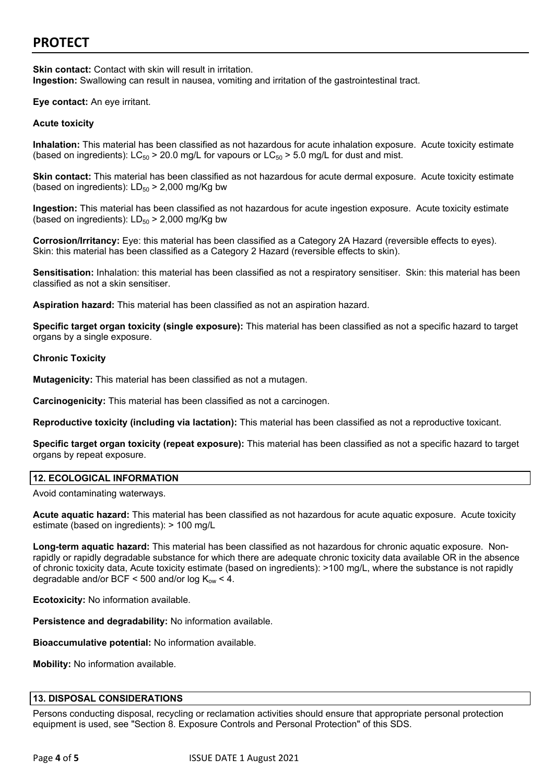# **PROTECT**

**Skin contact:** Contact with skin will result in irritation. **Ingestion:** Swallowing can result in nausea, vomiting and irritation of the gastrointestinal tract.

**Eye contact:** An eye irritant.

#### **Acute toxicity**

**Inhalation:** This material has been classified as not hazardous for acute inhalation exposure. Acute toxicity estimate (based on ingredients):  $LC_{50}$  > 20.0 mg/L for vapours or  $LC_{50}$  > 5.0 mg/L for dust and mist.

**Skin contact:** This material has been classified as not hazardous for acute dermal exposure. Acute toxicity estimate (based on ingredients):  $LD_{50}$  > 2,000 mg/Kg bw

**Ingestion:** This material has been classified as not hazardous for acute ingestion exposure. Acute toxicity estimate (based on ingredients):  $LD_{50}$  > 2,000 mg/Kg bw

**Corrosion/Irritancy:** Eye: this material has been classified as a Category 2A Hazard (reversible effects to eyes). Skin: this material has been classified as a Category 2 Hazard (reversible effects to skin).

**Sensitisation:** Inhalation: this material has been classified as not a respiratory sensitiser. Skin: this material has been classified as not a skin sensitiser.

**Aspiration hazard:** This material has been classified as not an aspiration hazard.

**Specific target organ toxicity (single exposure):** This material has been classified as not a specific hazard to target organs by a single exposure.

#### **Chronic Toxicity**

**Mutagenicity:** This material has been classified as not a mutagen.

**Carcinogenicity:** This material has been classified as not a carcinogen.

**Reproductive toxicity (including via lactation):** This material has been classified as not a reproductive toxicant.

**Specific target organ toxicity (repeat exposure):** This material has been classified as not a specific hazard to target organs by repeat exposure.

#### **12. ECOLOGICAL INFORMATION**

Avoid contaminating waterways.

**Acute aquatic hazard:** This material has been classified as not hazardous for acute aquatic exposure. Acute toxicity estimate (based on ingredients): > 100 mg/L

**Long-term aquatic hazard:** This material has been classified as not hazardous for chronic aquatic exposure. Nonrapidly or rapidly degradable substance for which there are adequate chronic toxicity data available OR in the absence of chronic toxicity data, Acute toxicity estimate (based on ingredients): >100 mg/L, where the substance is not rapidly degradable and/or BCF < 500 and/or  $log K_{ow}$  < 4.

**Ecotoxicity:** No information available.

**Persistence and degradability:** No information available.

**Bioaccumulative potential:** No information available.

**Mobility:** No information available.

#### **13. DISPOSAL CONSIDERATIONS**

Persons conducting disposal, recycling or reclamation activities should ensure that appropriate personal protection equipment is used, see "Section 8. Exposure Controls and Personal Protection" of this SDS.